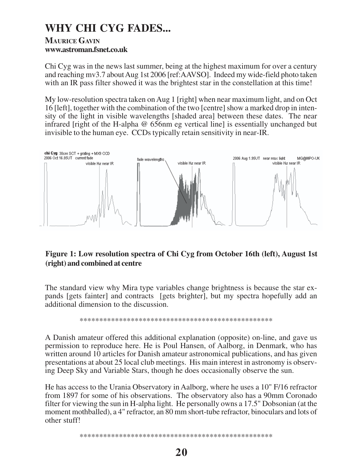## **WHY CHI CYG FADES...**

## **MAURICE GAVIN www.astroman.fsnet.co.uk**

Chi Cyg was in the news last summer, being at the highest maximum for over a century and reaching mv3.7 about Aug 1st 2006 [ref:AAVSO]. Indeed my wide-field photo taken with an IR pass filter showed it was the brightest star in the constellation at this time!

My low-resolution spectra taken on Aug 1 [right] when near maximum light, and on Oct 16 [left], together with the combination of the two [centre] show a marked drop in intensity of the light in visible wavelengths [shaded area] between these dates. The near infrared [right of the H-alpha @ 656nm eg vertical line] is essentially unchanged but invisible to the human eye. CCDs typically retain sensitivity in near-IR.



## **Figure 1: Low resolution spectra of Chi Cyg from October 16th (left), August 1st (right) and combined at centre**

The standard view why Mira type variables change brightness is because the star expands [gets fainter] and contracts [gets brighter], but my spectra hopefully add an additional dimension to the discussion.

\*\*\*\*\*\*\*\*\*\*\*\*\*\*\*\*\*\*\*\*\*\*\*\*\*\*\*\*\*\*\*\*\*\*\*\*\*\*\*\*\*\*\*\*\*\*\*\*\*

A Danish amateur offered this additional explanation (opposite) on-line, and gave us permission to reproduce here. He is Poul Hansen, of Aalborg, in Denmark, who has written around 10 articles for Danish amateur astronomical publications, and has given presentations at about 25 local club meetings. His main interest in astronomy is observing Deep Sky and Variable Stars, though he does occasionally observe the sun.

He has access to the Urania Observatory in Aalborg, where he uses a 10" F/16 refractor from 1897 for some of his observations. The observatory also has a 90mm Coronado filter for viewing the sun in H-alpha light. He personally owns a 17.5" Dobsonian (at the moment mothballed), a 4" refractor, an 80 mm short-tube refractor, binoculars and lots of other stuff!

\*\*\*\*\*\*\*\*\*\*\*\*\*\*\*\*\*\*\*\*\*\*\*\*\*\*\*\*\*\*\*\*\*\*\*\*\*\*\*\*\*\*\*\*\*\*\*\*\*